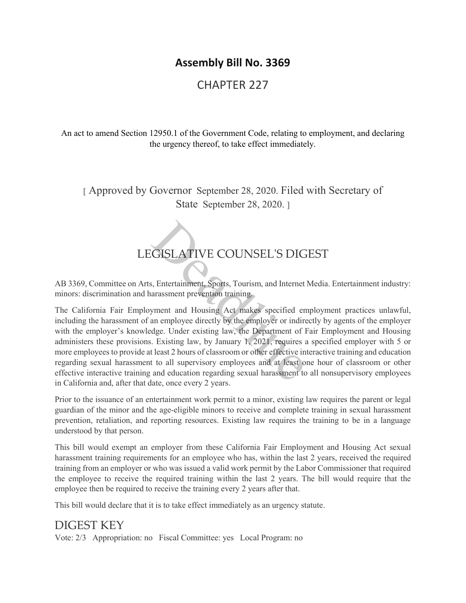## **Assembly Bill No. 3369**

## CHAPTER 227

An act to amend Section 12950.1 of the Government Code, relating to employment, and declaring the urgency thereof, to take effect immediately.

[ Approved by Governor September 28, 2020. Filed with Secretary of State September 28, 2020. ]

## LEGISLATIVE COUNSEL'S DIGEST

AB 3369, Committee on Arts, Entertainment, Sports, Tourism, and Internet Media. Entertainment industry: minors: discrimination and harassment prevention training.

The California Fair Employment and Housing Act makes specified employment practices unlawful, including the harassment of an employee directly by the employer or indirectly by agents of the employer with the employer's knowledge. Under existing law, the Department of Fair Employment and Housing administers these provisions. Existing law, by January 1, 2021, requires a specified employer with 5 or more employees to provide at least 2 hours of classroom or other effective interactive training and education regarding sexual harassment to all supervisory employees and at least one hour of classroom or other effective interactive training and education regarding sexual harassment to all nonsupervisory employees in California and, after that date, once every 2 years. GISLATIVE COUNSEL'S DIG<br>
S., Entertainment, Sports, Tourism, and Internet<br>
arassment prevention training.<br>
S., Entertainment prevention training.<br>
S., Entertainment prevention training.<br>
Symmet and Housing Act makes specif

Prior to the issuance of an entertainment work permit to a minor, existing law requires the parent or legal guardian of the minor and the age-eligible minors to receive and complete training in sexual harassment prevention, retaliation, and reporting resources. Existing law requires the training to be in a language understood by that person.

This bill would exempt an employer from these California Fair Employment and Housing Act sexual harassment training requirements for an employee who has, within the last 2 years, received the required training from an employer or who was issued a valid work permit by the Labor Commissioner that required the employee to receive the required training within the last 2 years. The bill would require that the employee then be required to receive the training every 2 years after that.

This bill would declare that it is to take effect immediately as an urgency statute.

### DIGEST KEY

Vote: 2/3 Appropriation: no Fiscal Committee: yes Local Program: no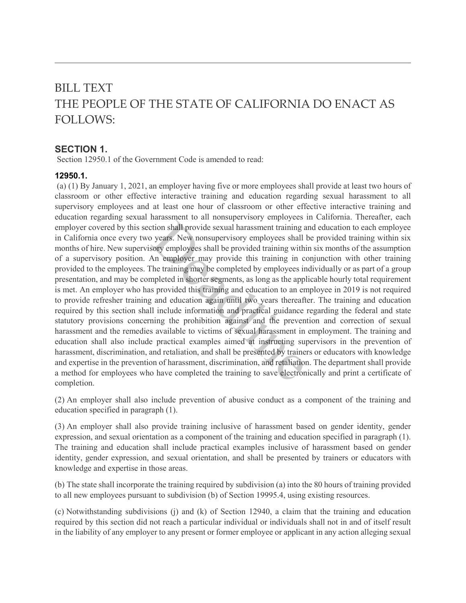# BILL TEXT THE PEOPLE OF THE STATE OF CALIFORNIA DO ENACT AS FOLLOWS:

#### **SECTION 1.**

Section 12950.1 of the Government Code is amended to read:

#### **12950.1.**

(a) (1) By January 1, 2021, an employer having five or more employees shall provide at least two hours of classroom or other effective interactive training and education regarding sexual harassment to all supervisory employees and at least one hour of classroom or other effective interactive training and education regarding sexual harassment to all nonsupervisory employees in California. Thereafter, each employer covered by this section shall provide sexual harassment training and education to each employee in California once every two years. New nonsupervisory employees shall be provided training within six months of hire. New supervisory employees shall be provided training within six months of the assumption of a supervisory position. An employer may provide this training in conjunction with other training provided to the employees. The training may be completed by employees individually or as part of a group presentation, and may be completed in shorter segments, as long as the applicable hourly total requirement is met. An employer who has provided this training and education to an employee in 2019 is not required to provide refresher training and education again until two years thereafter. The training and education required by this section shall include information and practical guidance regarding the federal and state statutory provisions concerning the prohibition against and the prevention and correction of sexual harassment and the remedies available to victims of sexual harassment in employment. The training and education shall also include practical examples aimed at instructing supervisors in the prevention of harassment, discrimination, and retaliation, and shall be presented by trainers or educators with knowledge and expertise in the prevention of harassment, discrimination, and retaliation. The department shall provide a method for employees who have completed the training to save electronically and print a certificate of completion. manus shall provide sexual harassment training a<br>b years. New nonsupervisory employees shall<br>sory employees shall be provided training in comployees shall be provided training in completed in shorter segments, as long as t

(2) An employer shall also include prevention of abusive conduct as a component of the training and education specified in paragraph (1).

(3) An employer shall also provide training inclusive of harassment based on gender identity, gender expression, and sexual orientation as a component of the training and education specified in paragraph (1). The training and education shall include practical examples inclusive of harassment based on gender identity, gender expression, and sexual orientation, and shall be presented by trainers or educators with knowledge and expertise in those areas.

(b) The state shall incorporate the training required by subdivision (a) into the 80 hours of training provided to all new employees pursuant to subdivision (b) of Section 19995.4, using existing resources.

(c) Notwithstanding subdivisions (j) and (k) of Section 12940, a claim that the training and education required by this section did not reach a particular individual or individuals shall not in and of itself result in the liability of any employer to any present or former employee or applicant in any action alleging sexual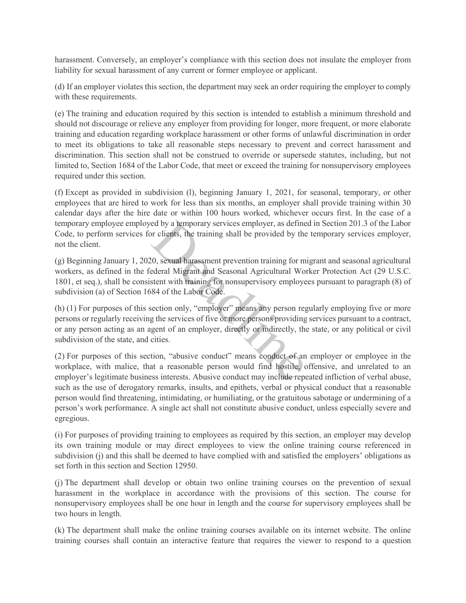harassment. Conversely, an employer's compliance with this section does not insulate the employer from liability for sexual harassment of any current or former employee or applicant.

(d) If an employer violates this section, the department may seek an order requiring the employer to comply with these requirements.

(e) The training and education required by this section is intended to establish a minimum threshold and should not discourage or relieve any employer from providing for longer, more frequent, or more elaborate training and education regarding workplace harassment or other forms of unlawful discrimination in order to meet its obligations to take all reasonable steps necessary to prevent and correct harassment and discrimination. This section shall not be construed to override or supersede statutes, including, but not limited to, Section 1684 of the Labor Code, that meet or exceed the training for nonsupervisory employees required under this section.

(f) Except as provided in subdivision (l), beginning January 1, 2021, for seasonal, temporary, or other employees that are hired to work for less than six months, an employer shall provide training within 30 calendar days after the hire date or within 100 hours worked, whichever occurs first. In the case of a temporary employee employed by a temporary services employer, as defined in Section 201.3 of the Labor Code, to perform services for clients, the training shall be provided by the temporary services employer, not the client.

(g) Beginning January 1, 2020, sexual harassment prevention training for migrant and seasonal agricultural workers, as defined in the federal Migrant and Seasonal Agricultural Worker Protection Act (29 U.S.C. 1801, et seq.), shall be consistent with training for nonsupervisory employees pursuant to paragraph (8) of subdivision (a) of Section 1684 of the Labor Code. ed by a temporary services employer, as define<br>or clients, the training shall be provided by the<br>20, sexual harassment prevention training for m<br>ederal Migrant and Seasonal Agricultural Wo<br>stent with training for nonsuperv

(h) (1) For purposes of this section only, "employer" means any person regularly employing five or more persons or regularly receiving the services of five or more persons providing services pursuant to a contract, or any person acting as an agent of an employer, directly or indirectly, the state, or any political or civil subdivision of the state, and cities.

(2) For purposes of this section, "abusive conduct" means conduct of an employer or employee in the workplace, with malice, that a reasonable person would find hostile, offensive, and unrelated to an employer's legitimate business interests. Abusive conduct may include repeated infliction of verbal abuse, such as the use of derogatory remarks, insults, and epithets, verbal or physical conduct that a reasonable person would find threatening, intimidating, or humiliating, or the gratuitous sabotage or undermining of a person's work performance. A single act shall not constitute abusive conduct, unless especially severe and egregious.

(i) For purposes of providing training to employees as required by this section, an employer may develop its own training module or may direct employees to view the online training course referenced in subdivision (j) and this shall be deemed to have complied with and satisfied the employers' obligations as set forth in this section and Section 12950.

(j) The department shall develop or obtain two online training courses on the prevention of sexual harassment in the workplace in accordance with the provisions of this section. The course for nonsupervisory employees shall be one hour in length and the course for supervisory employees shall be two hours in length.

(k) The department shall make the online training courses available on its internet website. The online training courses shall contain an interactive feature that requires the viewer to respond to a question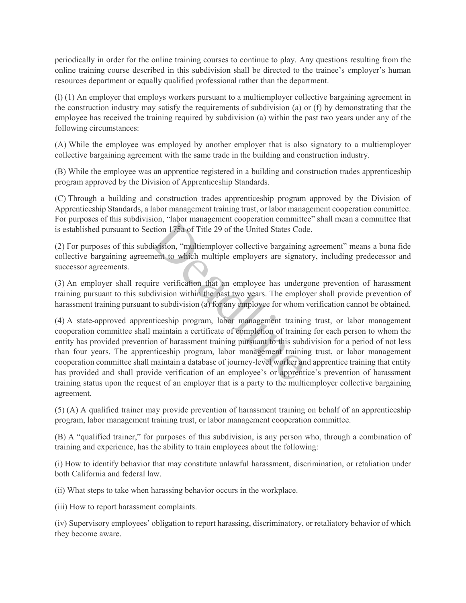periodically in order for the online training courses to continue to play. Any questions resulting from the online training course described in this subdivision shall be directed to the trainee's employer's human resources department or equally qualified professional rather than the department.

(l) (1) An employer that employs workers pursuant to a multiemployer collective bargaining agreement in the construction industry may satisfy the requirements of subdivision (a) or (f) by demonstrating that the employee has received the training required by subdivision (a) within the past two years under any of the following circumstances:

(A) While the employee was employed by another employer that is also signatory to a multiemployer collective bargaining agreement with the same trade in the building and construction industry.

(B) While the employee was an apprentice registered in a building and construction trades apprenticeship program approved by the Division of Apprenticeship Standards.

(C) Through a building and construction trades apprenticeship program approved by the Division of Apprenticeship Standards, a labor management training trust, or labor management cooperation committee. For purposes of this subdivision, "labor management cooperation committee" shall mean a committee that is established pursuant to Section 175a of Title 29 of the United States Code.

(2) For purposes of this subdivision, "multiemployer collective bargaining agreement" means a bona fide collective bargaining agreement to which multiple employers are signatory, including predecessor and successor agreements.

(3) An employer shall require verification that an employee has undergone prevention of harassment training pursuant to this subdivision within the past two years. The employer shall provide prevention of harassment training pursuant to subdivision (a) for any employee for whom verification cannot be obtained.

(4) A state-approved apprenticeship program, labor management training trust, or labor management cooperation committee shall maintain a certificate of completion of training for each person to whom the entity has provided prevention of harassment training pursuant to this subdivision for a period of not less than four years. The apprenticeship program, labor management training trust, or labor management cooperation committee shall maintain a database of journey-level worker and apprentice training that entity has provided and shall provide verification of an employee's or apprentice's prevention of harassment training status upon the request of an employer that is a party to the multiemployer collective bargaining agreement. Figure 1.15 and Transaction Community<br>trian 175a of Title 29 of the United States Cod<br>division, "multiemployer collective bargaining<br>ment to which multiple employers are signate<br>ire verification that an employee has underg

(5) (A) A qualified trainer may provide prevention of harassment training on behalf of an apprenticeship program, labor management training trust, or labor management cooperation committee.

(B) A "qualified trainer," for purposes of this subdivision, is any person who, through a combination of training and experience, has the ability to train employees about the following:

(i) How to identify behavior that may constitute unlawful harassment, discrimination, or retaliation under both California and federal law.

(ii) What steps to take when harassing behavior occurs in the workplace.

(iii) How to report harassment complaints.

(iv) Supervisory employees' obligation to report harassing, discriminatory, or retaliatory behavior of which they become aware.